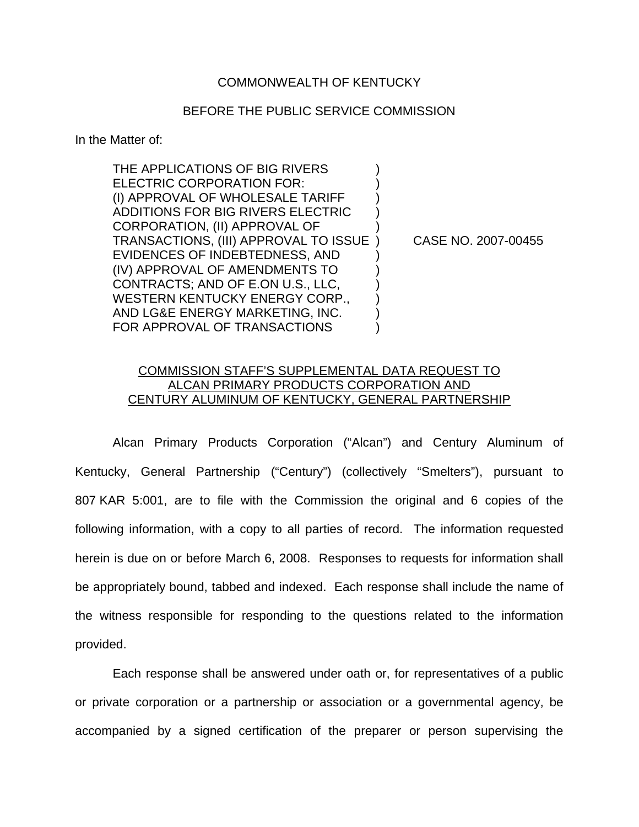## COMMONWEALTH OF KENTUCKY

## BEFORE THE PUBLIC SERVICE COMMISSION

In the Matter of:

THE APPLICATIONS OF BIG RIVERS ELECTRIC CORPORATION FOR: (I) APPROVAL OF WHOLESALE TARIFF ) ADDITIONS FOR BIG RIVERS ELECTRIC ) CORPORATION, (II) APPROVAL OF ) TRANSACTIONS, (III) APPROVAL TO ISSUE ) CASE NO. 2007-00455 EVIDENCES OF INDEBTEDNESS, AND ) (IV) APPROVAL OF AMENDMENTS TO ) CONTRACTS; AND OF E.ON U.S., LLC, ) WESTERN KENTUCKY ENERGY CORP., AND LG&E ENERGY MARKETING, INC. ) FOR APPROVAL OF TRANSACTIONS  $\qquad\qquad)$ 

## COMMISSION STAFF'S SUPPLEMENTAL DATA REQUEST TO ALCAN PRIMARY PRODUCTS CORPORATION AND CENTURY ALUMINUM OF KENTUCKY, GENERAL PARTNERSHIP

Alcan Primary Products Corporation ("Alcan") and Century Aluminum of Kentucky, General Partnership ("Century") (collectively "Smelters"), pursuant to 807 KAR 5:001, are to file with the Commission the original and 6 copies of the following information, with a copy to all parties of record. The information requested herein is due on or before March 6, 2008. Responses to requests for information shall be appropriately bound, tabbed and indexed. Each response shall include the name of the witness responsible for responding to the questions related to the information provided.

Each response shall be answered under oath or, for representatives of a public or private corporation or a partnership or association or a governmental agency, be accompanied by a signed certification of the preparer or person supervising the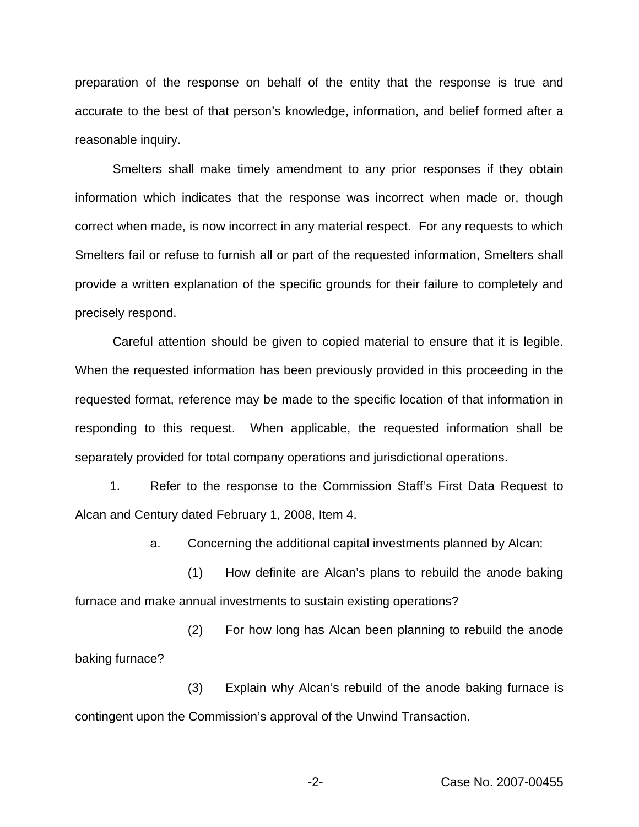preparation of the response on behalf of the entity that the response is true and accurate to the best of that person's knowledge, information, and belief formed after a reasonable inquiry.

Smelters shall make timely amendment to any prior responses if they obtain information which indicates that the response was incorrect when made or, though correct when made, is now incorrect in any material respect. For any requests to which Smelters fail or refuse to furnish all or part of the requested information, Smelters shall provide a written explanation of the specific grounds for their failure to completely and precisely respond.

Careful attention should be given to copied material to ensure that it is legible. When the requested information has been previously provided in this proceeding in the requested format, reference may be made to the specific location of that information in responding to this request. When applicable, the requested information shall be separately provided for total company operations and jurisdictional operations.

1. Refer to the response to the Commission Staff's First Data Request to Alcan and Century dated February 1, 2008, Item 4.

a. Concerning the additional capital investments planned by Alcan:

(1) How definite are Alcan's plans to rebuild the anode baking furnace and make annual investments to sustain existing operations?

(2) For how long has Alcan been planning to rebuild the anode baking furnace?

(3) Explain why Alcan's rebuild of the anode baking furnace is contingent upon the Commission's approval of the Unwind Transaction.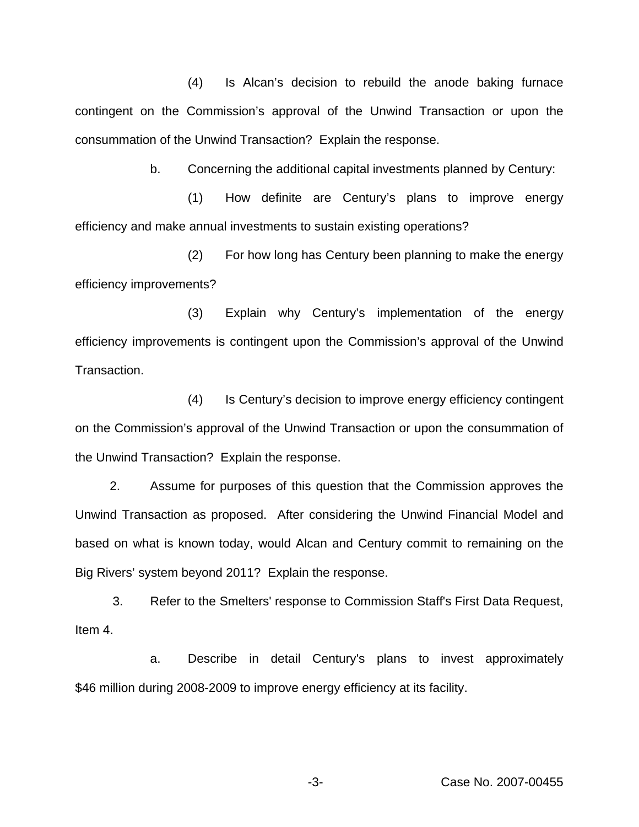(4) Is Alcan's decision to rebuild the anode baking furnace contingent on the Commission's approval of the Unwind Transaction or upon the consummation of the Unwind Transaction? Explain the response.

b. Concerning the additional capital investments planned by Century:

(1) How definite are Century's plans to improve energy efficiency and make annual investments to sustain existing operations?

(2) For how long has Century been planning to make the energy efficiency improvements?

(3) Explain why Century's implementation of the energy efficiency improvements is contingent upon the Commission's approval of the Unwind Transaction.

(4) Is Century's decision to improve energy efficiency contingent on the Commission's approval of the Unwind Transaction or upon the consummation of the Unwind Transaction? Explain the response.

2. Assume for purposes of this question that the Commission approves the Unwind Transaction as proposed. After considering the Unwind Financial Model and based on what is known today, would Alcan and Century commit to remaining on the Big Rivers' system beyond 2011? Explain the response.

3. Refer to the Smelters' response to Commission Staff's First Data Request, Item 4.

a. Describe in detail Century's plans to invest approximately \$46 million during 2008-2009 to improve energy efficiency at its facility.